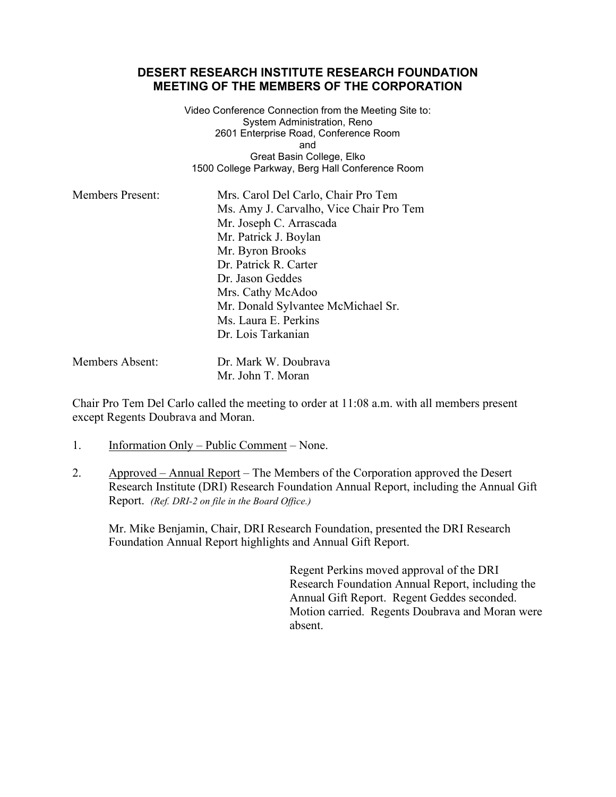## **DESERT RESEARCH INSTITUTE RESEARCH FOUNDATION MEETING OF THE MEMBERS OF THE CORPORATION**

Video Conference Connection from the Meeting Site to: System Administration, Reno 2601 Enterprise Road, Conference Room and Great Basin College, Elko 1500 College Parkway, Berg Hall Conference Room

| <b>Members Present:</b> | Mrs. Carol Del Carlo, Chair Pro Tem     |
|-------------------------|-----------------------------------------|
|                         | Ms. Amy J. Carvalho, Vice Chair Pro Tem |
|                         | Mr. Joseph C. Arrascada                 |
|                         | Mr. Patrick J. Boylan                   |
|                         | Mr. Byron Brooks                        |
|                         | Dr. Patrick R. Carter                   |
|                         | Dr. Jason Geddes                        |
|                         | Mrs. Cathy McAdoo                       |
|                         | Mr. Donald Sylvantee McMichael Sr.      |
|                         | Ms. Laura E. Perkins                    |
|                         | Dr. Lois Tarkanian                      |
|                         |                                         |

Members Absent: Dr. Mark W. Doubrava Mr. John T. Moran

Chair Pro Tem Del Carlo called the meeting to order at 11:08 a.m. with all members present except Regents Doubrava and Moran.

- 1. Information Only Public Comment None.
- 2. Approved Annual Report The Members of the Corporation approved the Desert Research Institute (DRI) Research Foundation Annual Report, including the Annual Gift Report. *[\(Ref. DRI-2 on file in the Board Office.\)](https://nshe.nevada.edu/wp-content/uploads/file/BoardOfRegents/Agendas/2017/nov-mtgs/%20foundation-refs/dri/DRI-2.pdf)*

Mr. Mike Benjamin, Chair, DRI Research Foundation, presented the DRI Research Foundation Annual Report highlights and Annual Gift Report.

> Regent Perkins moved approval of the DRI Research Foundation Annual Report, including the Annual Gift Report. Regent Geddes seconded. Motion carried. Regents Doubrava and Moran were absent.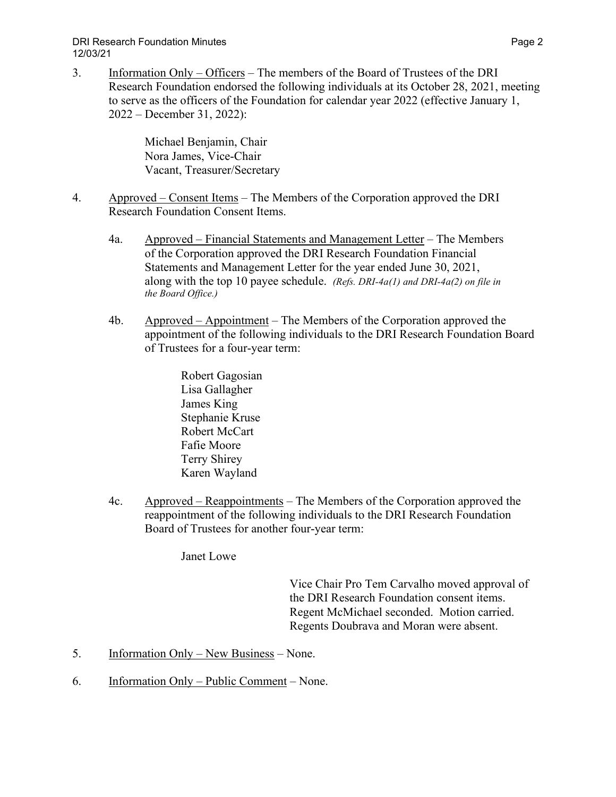## DRI Research Foundation Minutes Page 2 12/03/21

3. Information Only – Officers – The members of the Board of Trustees of the DRI Research Foundation endorsed the following individuals at its October 28, 2021, meeting to serve as the officers of the Foundation for calendar year 2022 (effective January 1, 2022 – December 31, 2022):

> Michael Benjamin, Chair Nora James, Vice-Chair Vacant, Treasurer/Secretary

- 4. Approved Consent Items The Members of the Corporation approved the DRI Research Foundation Consent Items.
	- 4a. Approved Financial Statements and Management Letter The Members of the Corporation approved the DRI Research Foundation Financial Statements and Management Letter for the year ended June 30, 2021, along with the top 10 payee schedule. *(Refs. DRI-4a(1) and DRI-4a(2) on file in the Board Office.)*
	- 4b. Approved Appointment The Members of the Corporation approved the appointment of the following individuals to the DRI Research Foundation Board of Trustees for a four-year term:
		- Robert Gagosian Lisa Gallagher James King Stephanie Kruse Robert McCart Fafie Moore Terry Shirey Karen Wayland
	- 4c. Approved Reappointments The Members of the Corporation approved the reappointment of the following individuals to the DRI Research Foundation Board of Trustees for another four-year term:

Janet Lowe

Vice Chair Pro Tem Carvalho moved approval of the DRI Research Foundation consent items. Regent McMichael seconded. Motion carried. Regents Doubrava and Moran were absent.

- 5. Information Only New Business None.
- 6. Information Only Public Comment None.